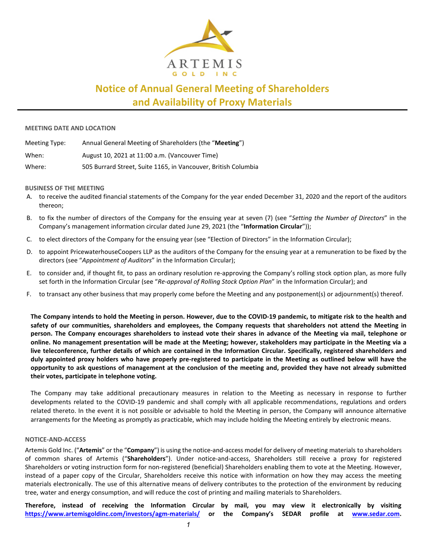

# **Notice of Annual General Meeting of Shareholders and Availability of Proxy Materials**

#### **MEETING DATE AND LOCATION**

| Meeting Type: | Annual General Meeting of Shareholders (the "Meeting")         |
|---------------|----------------------------------------------------------------|
| When:         | August 10, 2021 at 11:00 a.m. (Vancouver Time)                 |
| Where:        | 505 Burrard Street, Suite 1165, in Vancouver, British Columbia |

## **BUSINESS OF THE MEETING**

- A. to receive the audited financial statements of the Company for the year ended December 31, 2020 and the report of the auditors thereon;
- B. to fix the number of directors of the Company for the ensuing year at seven (7) (see "*Setting the Number of Directors*" in the Company's management information circular dated June 29, 2021 (the "**Information Circular**"));
- C. to elect directors of the Company for the ensuing year (see "Election of Directors" in the Information Circular);
- D. to appoint PricewaterhouseCoopers LLP as the auditors of the Company for the ensuing year at a remuneration to be fixed by the directors (see "*Appointment of Auditors*" in the Information Circular);
- E. to consider and, if thought fit, to pass an ordinary resolution re-approving the Company's rolling stock option plan, as more fully set forth in the Information Circular (see "*Re-approval of Rolling Stock Option Plan*" in the Information Circular); and
- F. to transact any other business that may properly come before the Meeting and any postponement(s) or adjournment(s) thereof.

**The Company intends to hold the Meeting in person. However, due to the COVID-19 pandemic, to mitigate risk to the health and safety of our communities, shareholders and employees, the Company requests that shareholders not attend the Meeting in person. The Company encourages shareholders to instead vote their shares in advance of the Meeting via mail, telephone or online. No management presentation will be made at the Meeting; however, stakeholders may participate in the Meeting via a live teleconference, further details of which are contained in the Information Circular. Specifically, registered shareholders and duly appointed proxy holders who have properly pre-registered to participate in the Meeting as outlined below will have the opportunity to ask questions of management at the conclusion of the meeting and, provided they have not already submitted their votes, participate in telephone voting.**

The Company may take additional precautionary measures in relation to the Meeting as necessary in response to further developments related to the COVID-19 pandemic and shall comply with all applicable recommendations, regulations and orders related thereto. In the event it is not possible or advisable to hold the Meeting in person, the Company will announce alternative arrangements for the Meeting as promptly as practicable, which may include holding the Meeting entirely by electronic means.

#### **NOTICE-AND-ACCESS**

Artemis Gold Inc. ("**Artemis**" or the "**Company**") is using the notice-and-access model for delivery of meeting materials to shareholders of common shares of Artemis ("**Shareholders**"). Under notice-and-access, Shareholders still receive a proxy for registered Shareholders or voting instruction form for non-registered (beneficial) Shareholders enabling them to vote at the Meeting. However, instead of a paper copy of the Circular, Shareholders receive this notice with information on how they may access the meeting materials electronically. The use of this alternative means of delivery contributes to the protection of the environment by reducing tree, water and energy consumption, and will reduce the cost of printing and mailing materials to Shareholders.

**Therefore, instead of receiving the Information Circular by mail, you may view it electronically by visiting <https://www.artemisgoldinc.com/investors/agm-materials/> or the Company's SEDAR profile at [www.sedar.com.](http://www.sedar.com/)**